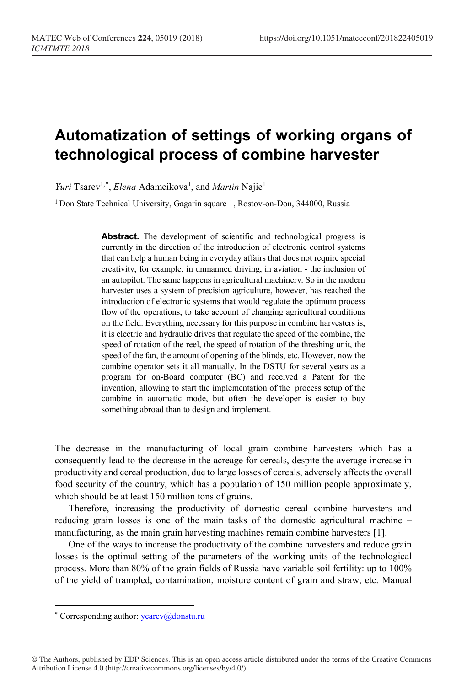# **Automatization of settings of working organs of technological process of combine harvester**

Yuri Tsarev<sup>1,[\\*](#page-0-0)</sup>, *Elena* Adamcikova<sup>1</sup>, and *Martin* Najie<sup>1</sup>

<sup>1</sup> Don State Technical University, Gagarin square 1, Rostov-on-Don, 344000, Russia

**Abstract.** The development of scientific and technological progress is currently in the direction of the introduction of electronic control systems that can help a human being in everyday affairs that does not require special creativity, for example, in unmanned driving, in aviation - the inclusion of an autopilot. The same happens in agricultural machinery. So in the modern harvester uses a system of precision agriculture, however, has reached the introduction of electronic systems that would regulate the optimum process flow of the operations, to take account of changing agricultural conditions on the field. Everything necessary for this purpose in combine harvesters is, it is electric and hydraulic drives that regulate the speed of the combine, the speed of rotation of the reel, the speed of rotation of the threshing unit, the speed of the fan, the amount of opening of the blinds, etc. However, now the combine operator sets it all manually. In the DSTU for several years as a program for on-Board computer (BC) and received a Patent for the invention, allowing to start the implementation of the process setup of the combine in automatic mode, but often the developer is easier to buy something abroad than to design and implement.

The decrease in the manufacturing of local grain combine harvesters which has a consequently lead to the decrease in the acreage for cereals, despite the average increase in productivity and cereal production, due to large losses of cereals, adversely affects the overall food security of the country, which has a population of 150 million people approximately, which should be at least 150 million tons of grains.

Therefore, increasing the productivity of domestic cereal combine harvesters and reducing grain losses is one of the main tasks of the domestic agricultural machine – manufacturing, as the main grain harvesting machines remain combine harvesters [1].

One of the ways to increase the productivity of the combine harvesters and reduce grain losses is the optimal setting of the parameters of the working units of the technological process. More than 80% of the grain fields of Russia have variable soil fertility: up to 100% of the yield of trampled, contamination, moisture content of grain and straw, etc. Manual

 $\overline{a}$ 

<span id="page-0-0"></span><sup>\*</sup> Corresponding author[: ycarev@donstu.ru](mailto:ycarev@donstu.ru)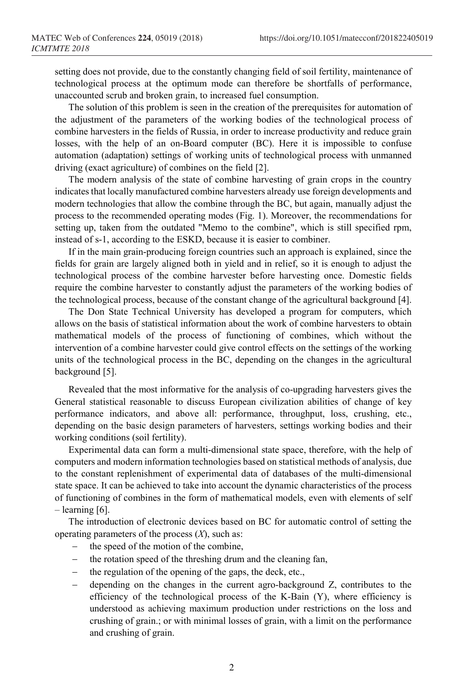setting does not provide, due to the constantly changing field of soil fertility, maintenance of technological process at the optimum mode can therefore be shortfalls of performance, unaccounted scrub and broken grain, to increased fuel consumption.

The solution of this problem is seen in the creation of the prerequisites for automation of the adjustment of the parameters of the working bodies of the technological process of combine harvesters in the fields of Russia, in order to increase productivity and reduce grain losses, with the help of an on-Board computer (BC). Here it is impossible to confuse automation (adaptation) settings of working units of technological process with unmanned driving (exact agriculture) of combines on the field [2].

The modern analysis of the state of combine harvesting of grain crops in the country indicates that locally manufactured combine harvesters already use foreign developments and modern technologies that allow the combine through the BC, but again, manually adjust the process to the recommended operating modes (Fig. 1). Moreover, the recommendations for setting up, taken from the outdated "Memo to the combine", which is still specified rpm, instead of s-1, according to the ESKD, because it is easier to combiner.

If in the main grain-producing foreign countries such an approach is explained, since the fields for grain are largely aligned both in yield and in relief, so it is enough to adjust the technological process of the combine harvester before harvesting once. Domestic fields require the combine harvester to constantly adjust the parameters of the working bodies of the technological process, because of the constant change of the agricultural background [4].

The Don State Technical University has developed a program for computers, which allows on the basis of statistical information about the work of combine harvesters to obtain mathematical models of the process of functioning of combines, which without the intervention of a combine harvester could give control effects on the settings of the working units of the technological process in the BC, depending on the changes in the agricultural background [5].

Revealed that the most informative for the analysis of co-upgrading harvesters gives the General statistical reasonable to discuss European civilization abilities of change of key performance indicators, and above all: performance, throughput, loss, crushing, etc., depending on the basic design parameters of harvesters, settings working bodies and their working conditions (soil fertility).

Experimental data can form a multi-dimensional state space, therefore, with the help of computers and modern information technologies based on statistical methods of analysis, due to the constant replenishment of experimental data of databases of the multi-dimensional state space. It can be achieved to take into account the dynamic characteristics of the process of functioning of combines in the form of mathematical models, even with elements of self  $-$  learning  $[6]$ .

The introduction of electronic devices based on BC for automatic control of setting the operating parameters of the process (*X*), such as:

- − the speed of the motion of the combine,
- − the rotation speed of the threshing drum and the cleaning fan,
- the regulation of the opening of the gaps, the deck, etc.,
- − depending on the changes in the current agro-background Z, contributes to the efficiency of the technological process of the K-Bain (Y), where efficiency is understood as achieving maximum production under restrictions on the loss and crushing of grain.; or with minimal losses of grain, with a limit on the performance and crushing of grain.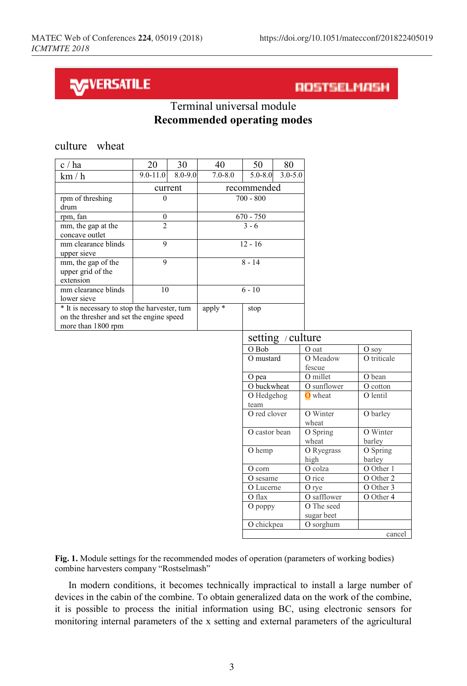## **NAVERSATILE**

culture wheat

### ROSTSELMASH

#### Terminal universal module **Recommended operating modes**

| c / ha                                                                                                          | 20             | 30      | 40          | 50          | 80                |                            |
|-----------------------------------------------------------------------------------------------------------------|----------------|---------|-------------|-------------|-------------------|----------------------------|
| km/h                                                                                                            | $9.0 - 11.0$   | 8.0-9.0 | $7.0 - 8.0$ | $5.0 - 8.0$ | $3.0 - 5.0$       |                            |
|                                                                                                                 | current        |         | recommended |             |                   |                            |
| rpm of threshing<br>drum                                                                                        | $\Omega$       |         | $700 - 800$ |             |                   |                            |
| rpm, fan                                                                                                        | $\theta$       |         | $670 - 750$ |             |                   |                            |
| mm, the gap at the<br>concave outlet                                                                            | $\mathfrak{D}$ |         | $3 - 6$     |             |                   |                            |
| mm clearance blinds<br>upper sieve                                                                              | 9              |         | $12 - 16$   |             |                   |                            |
| mm, the gap of the<br>upper grid of the<br>extension                                                            | 9              |         | $8 - 14$    |             |                   |                            |
| mm clearance blinds<br>lower sieve                                                                              | 10             |         | $6 - 10$    |             |                   |                            |
| * It is necessary to stop the harvester, turn<br>on the thresher and set the engine speed<br>more than 1800 rpm |                |         | apply *     | stop        |                   |                            |
|                                                                                                                 |                |         |             |             | setting / culture |                            |
|                                                                                                                 |                |         |             | O Bob       |                   | O oat                      |
|                                                                                                                 |                |         |             | O mustard   |                   | O M                        |
|                                                                                                                 |                |         |             |             |                   | $\mathcal{L}_{\text{max}}$ |

| setting / culture |             |             |  |  |
|-------------------|-------------|-------------|--|--|
| O Bob             | O oat       | O soy       |  |  |
| O mustard         | O Meadow    | O triticale |  |  |
|                   | fescue      |             |  |  |
| O pea             | O millet    | O bean      |  |  |
| O buckwheat       | O sunflower | O cotton    |  |  |
| O Hedgehog        | O wheat     | O lentil    |  |  |
| team              |             |             |  |  |
| O red clover      | O Winter    | O barley    |  |  |
|                   | wheat       |             |  |  |
| O castor bean     | O Spring    | O Winter    |  |  |
|                   | wheat       | barley      |  |  |
| O hemp            | O Ryegrass  | O Spring    |  |  |
|                   | high        | barley      |  |  |
| O corn            | O colza     | O Other 1   |  |  |
| O sesame          | O rice      | O Other 2   |  |  |
| O Lucerne         | O rye       | O Other 3   |  |  |
| O flax            | O safflower | O Other 4   |  |  |
| $O$ poppy         | O The seed  |             |  |  |
|                   | sugar beet  |             |  |  |
| O chickpea        | O sorghum   |             |  |  |
| cancel            |             |             |  |  |

**Fig. 1.** Module settings for the recommended modes of operation (parameters of working bodies) combine harvesters company "Rostselmash"

In modern conditions, it becomes technically impractical to install a large number of devices in the cabin of the combine. To obtain generalized data on the work of the combine, it is possible to process the initial information using BC, using electronic sensors for monitoring internal parameters of the x setting and external parameters of the agricultural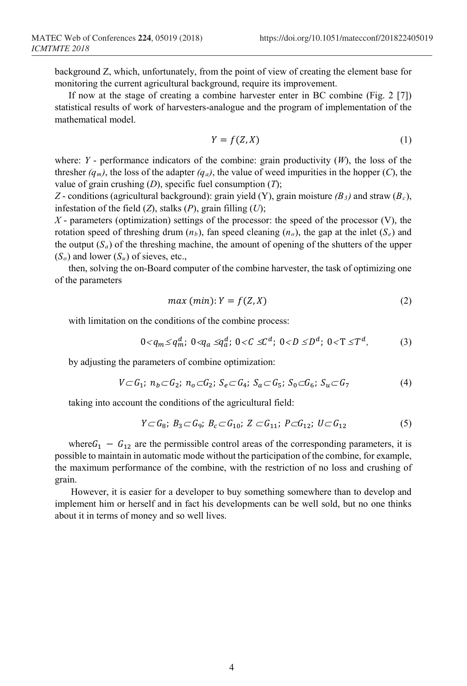background Z, which, unfortunately, from the point of view of creating the element base for monitoring the current agricultural background, require its improvement.

If now at the stage of creating a combine harvester enter in BC combine (Fig. 2 [7]) statistical results of work of harvesters-analogue and the program of implementation of the mathematical model.

$$
Y = f(Z, X) \tag{1}
$$

where:  $Y$  - performance indicators of the combine: grain productivity  $(W)$ , the loss of the thresher  $(q_m)$ , the loss of the adapter  $(q_a)$ , the value of weed impurities in the hopper (*C*), the value of grain crushing (*D*), specific fuel consumption (*T*);

*Z* - conditions (agricultural background): grain yield (Y), grain moisture  $(B_3)$  and straw  $(B_c)$ , infestation of the field (*Z*), stalks (*P*), grain filling (*U*);

*X* - parameters (optimization) settings of the processor: the speed of the processor (V), the rotation speed of threshing drum  $(n_b)$ , fan speed cleaning  $(n_o)$ , the gap at the inlet  $(S_e)$  and the output  $(S_a)$  of the threshing machine, the amount of opening of the shutters of the upper (*So*) and lower (*Su*) of sieves, etc.,

then, solving the on-Board computer of the combine harvester, the task of optimizing one of the parameters

$$
max (min): Y = f(Z, X)
$$
 (2)

with limitation on the conditions of the combine process:

$$
0 < q_m \le q_m^d; \ 0 < q_a \le q_a^d; \ 0 < C \le C^d; \ 0 < D \le D^d; \ 0 < T \le T^d,\tag{3}
$$

by adjusting the parameters of combine optimization:

$$
V \subset G_1; n_b \subset G_2; n_o \subset G_2; S_e \subset G_4; S_a \subset G_5; S_0 \subset G_6; S_u \subset G_7
$$
 (4)

taking into account the conditions of the agricultural field:

$$
Y \subset G_8; B_3 \subset G_9; B_c \subset G_{10}; Z \subset G_{11}; P \subset G_{12}; U \subset G_{12}
$$
 (5)

where  $G_1 - G_{12}$  are the permissible control areas of the corresponding parameters, it is possible to maintain in automatic mode without the participation of the combine, for example, the maximum performance of the combine, with the restriction of no loss and crushing of grain.

However, it is easier for a developer to buy something somewhere than to develop and implement him or herself and in fact his developments can be well sold, but no one thinks about it in terms of money and so well lives.